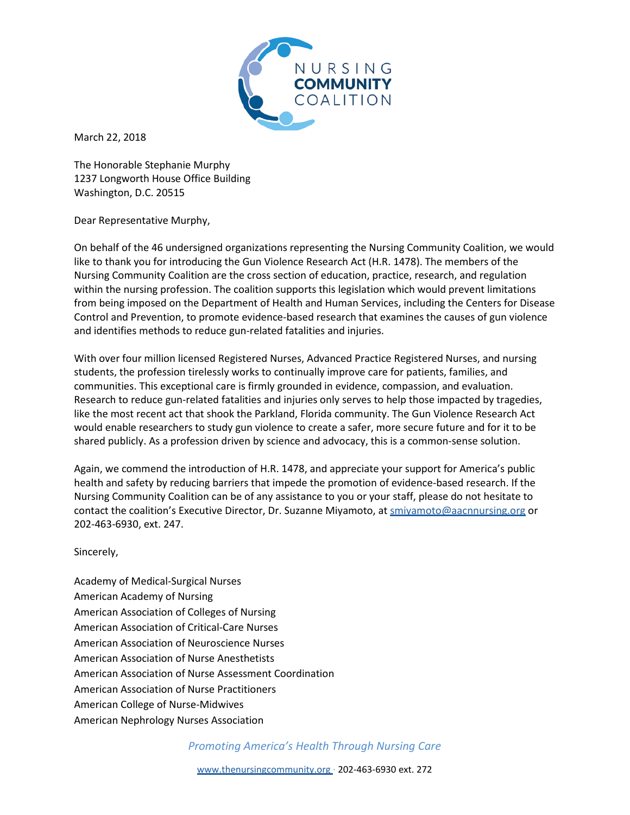

March 22, 2018

The Honorable Stephanie Murphy 1237 Longworth House Office Building Washington, D.C. 20515

Dear Representative Murphy,

On behalf of the 46 undersigned organizations representing the Nursing Community Coalition, we would like to thank you for introducing the Gun Violence Research Act (H.R. 1478). The members of the Nursing Community Coalition are the cross section of education, practice, research, and regulation within the nursing profession. The coalition supports this legislation which would prevent limitations from being imposed on the Department of Health and Human Services, including the Centers for Disease Control and Prevention, to promote evidence-based research that examines the causes of gun violence and identifies methods to reduce gun-related fatalities and injuries.

With over four million licensed Registered Nurses, Advanced Practice Registered Nurses, and nursing students, the profession tirelessly works to continually improve care for patients, families, and communities. This exceptional care is firmly grounded in evidence, compassion, and evaluation. Research to reduce gun-related fatalities and injuries only serves to help those impacted by tragedies, like the most recent act that shook the Parkland, Florida community. The Gun Violence Research Act would enable researchers to study gun violence to create a safer, more secure future and for it to be shared publicly. As a profession driven by science and advocacy, this is a common-sense solution.

Again, we commend the introduction of H.R. 1478, and appreciate your support for America's public health and safety by reducing barriers that impede the promotion of evidence-based research. If the Nursing Community Coalition can be of any assistance to you or your staff, please do not hesitate to contact the coalition's Executive Director, Dr. Suzanne Miyamoto, at smiyamoto@aacnnursing.org or 202-463-6930, ext. 247.

Sincerely,

Academy of Medical-Surgical Nurses American Academy of Nursing American Association of Colleges of Nursing American Association of Critical-Care Nurses American Association of Neuroscience Nurses American Association of Nurse Anesthetists American Association of Nurse Assessment Coordination American Association of Nurse Practitioners American College of Nurse-Midwives American Nephrology Nurses Association

*Promoting America's Health Through Nursing Care*